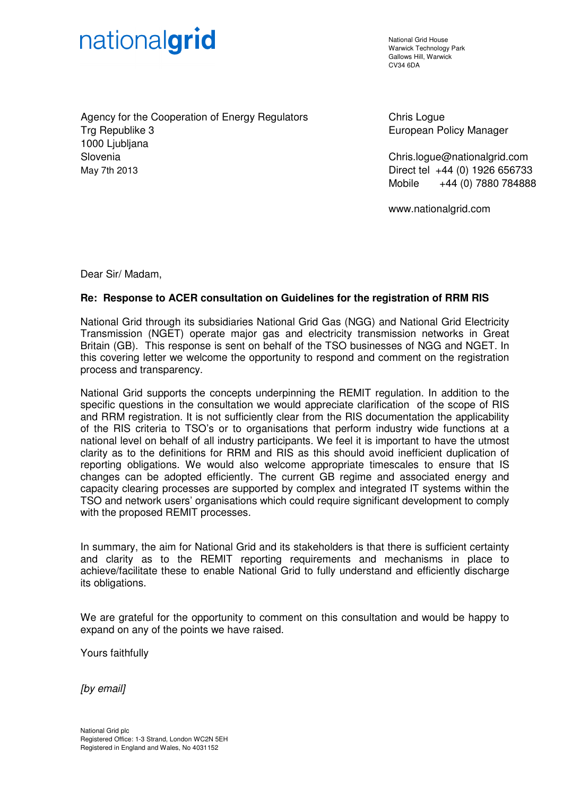# nationalgrid

National Grid House Warwick Technology Park Gallows Hill, Warwick  $C<sub>1</sub>1/34$  6DA

Agency for the Cooperation of Energy Regulators Trg Republike 3 1000 Ljubljana Slovenia May 7th 2013

Chris Logue European Policy Manager

Chris.logue@nationalgrid.com Direct tel +44 (0) 1926 656733 Mobile +44 (0) 7880 784888

www.nationalgrid.com

Dear Sir/ Madam,

## **Re: Response to ACER consultation on Guidelines for the registration of RRM RIS**

National Grid through its subsidiaries National Grid Gas (NGG) and National Grid Electricity Transmission (NGET) operate major gas and electricity transmission networks in Great Britain (GB). This response is sent on behalf of the TSO businesses of NGG and NGET. In this covering letter we welcome the opportunity to respond and comment on the registration process and transparency.

National Grid supports the concepts underpinning the REMIT regulation. In addition to the specific questions in the consultation we would appreciate clarification of the scope of RIS and RRM registration. It is not sufficiently clear from the RIS documentation the applicability of the RIS criteria to TSO's or to organisations that perform industry wide functions at a national level on behalf of all industry participants. We feel it is important to have the utmost clarity as to the definitions for RRM and RIS as this should avoid inefficient duplication of reporting obligations. We would also welcome appropriate timescales to ensure that IS changes can be adopted efficiently. The current GB regime and associated energy and capacity clearing processes are supported by complex and integrated IT systems within the TSO and network users' organisations which could require significant development to comply with the proposed REMIT processes.

In summary, the aim for National Grid and its stakeholders is that there is sufficient certainty and clarity as to the REMIT reporting requirements and mechanisms in place to achieve/facilitate these to enable National Grid to fully understand and efficiently discharge its obligations.

We are grateful for the opportunity to comment on this consultation and would be happy to expand on any of the points we have raised.

Yours faithfully

[by email]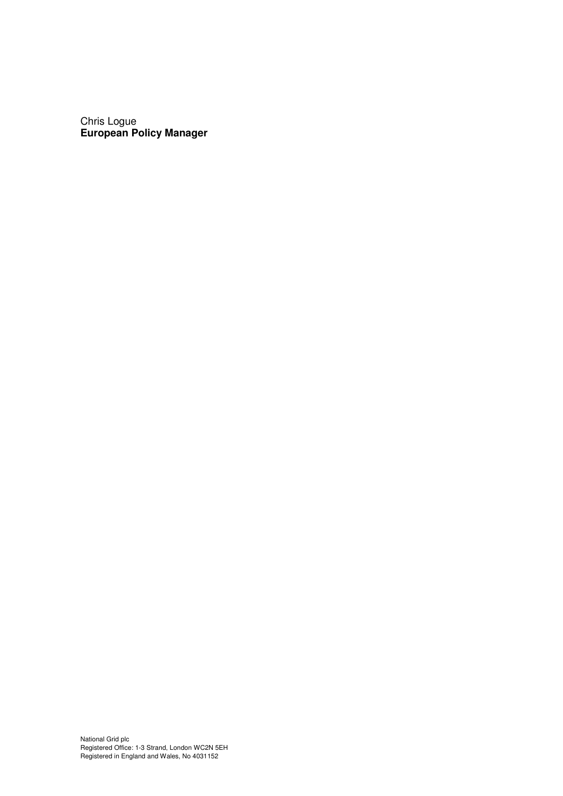Chris Logue **European Policy Manager**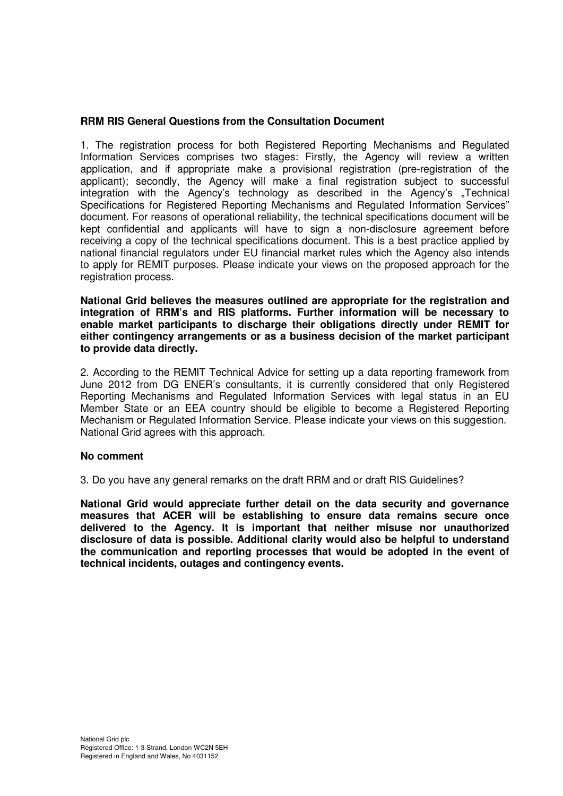## **RRM RIS General Questions from the Consultation Document**

1. The registration process for both Registered Reporting Mechanisms and Regulated Information Services comprises two stages: Firstly, the Agency will review a written application, and if appropriate make a provisional registration (pre-registration of the applicant); secondly, the Agency will make a final registration subject to successful integration with the Agency's technology as described in the Agency's "Technical Specifications for Registered Reporting Mechanisms and Regulated Information Services" document. For reasons of operational reliability, the technical specifications document will be kept confidential and applicants will have to sign a non-disclosure agreement before receiving a copy of the technical specifications document. This is a best practice applied by national financial regulators under EU financial market rules which the Agency also intends to apply for REMIT purposes. Please indicate your views on the proposed approach for the registration process.

**National Grid believes the measures outlined are appropriate for the registration and integration of RRM's and RIS platforms. Further information will be necessary to enable market participants to discharge their obligations directly under REMIT for either contingency arrangements or as a business decision of the market participant to provide data directly.** 

2. According to the REMIT Technical Advice for setting up a data reporting framework from June 2012 from DG ENER's consultants, it is currently considered that only Registered Reporting Mechanisms and Regulated Information Services with legal status in an EU Member State or an EEA country should be eligible to become a Registered Reporting Mechanism or Regulated Information Service. Please indicate your views on this suggestion. National Grid agrees with this approach.

## **No comment**

3. Do you have any general remarks on the draft RRM and or draft RIS Guidelines?

**National Grid would appreciate further detail on the data security and governance measures that ACER will be establishing to ensure data remains secure once delivered to the Agency. It is important that neither misuse nor unauthorized disclosure of data is possible. Additional clarity would also be helpful to understand the communication and reporting processes that would be adopted in the event of technical incidents, outages and contingency events.**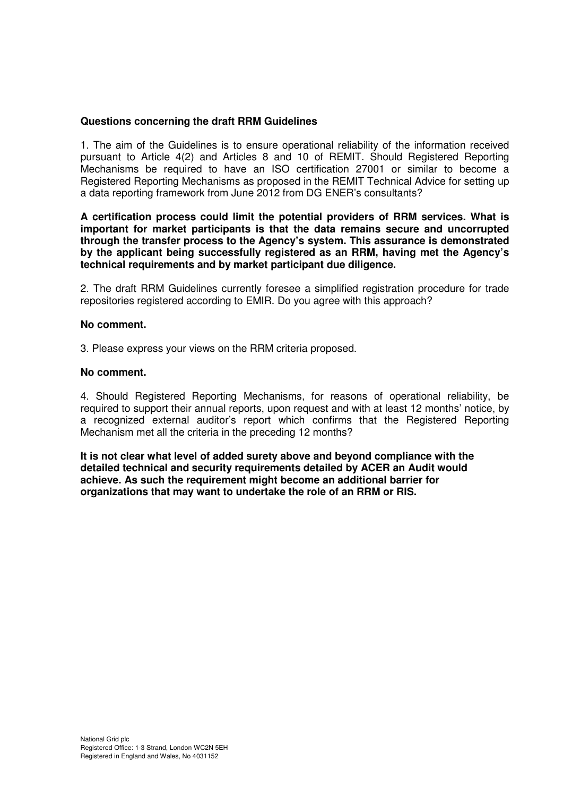## **Questions concerning the draft RRM Guidelines**

1. The aim of the Guidelines is to ensure operational reliability of the information received pursuant to Article 4(2) and Articles 8 and 10 of REMIT. Should Registered Reporting Mechanisms be required to have an ISO certification 27001 or similar to become a Registered Reporting Mechanisms as proposed in the REMIT Technical Advice for setting up a data reporting framework from June 2012 from DG ENER's consultants?

**A certification process could limit the potential providers of RRM services. What is important for market participants is that the data remains secure and uncorrupted through the transfer process to the Agency's system. This assurance is demonstrated by the applicant being successfully registered as an RRM, having met the Agency's technical requirements and by market participant due diligence.** 

2. The draft RRM Guidelines currently foresee a simplified registration procedure for trade repositories registered according to EMIR. Do you agree with this approach?

#### **No comment.**

3. Please express your views on the RRM criteria proposed.

#### **No comment.**

4. Should Registered Reporting Mechanisms, for reasons of operational reliability, be required to support their annual reports, upon request and with at least 12 months' notice, by a recognized external auditor's report which confirms that the Registered Reporting Mechanism met all the criteria in the preceding 12 months?

**It is not clear what level of added surety above and beyond compliance with the detailed technical and security requirements detailed by ACER an Audit would achieve. As such the requirement might become an additional barrier for organizations that may want to undertake the role of an RRM or RIS.**